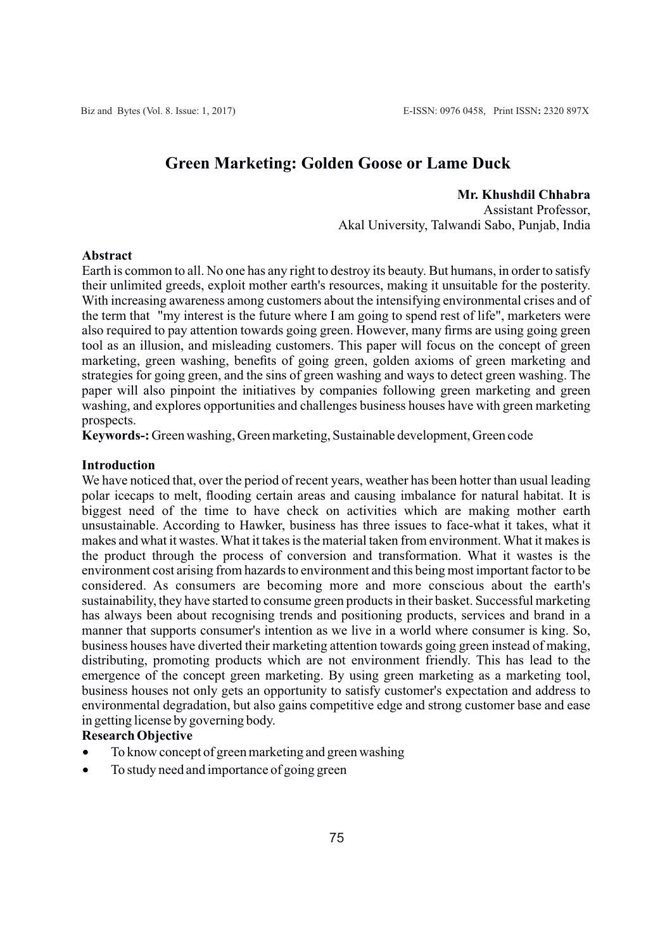# **Green Marketing: Golden Goose or Lame Duck**

# **Mr. Khushdil Chhabra**

Assistant Professor, Akal University, Talwandi Sabo, Punjab, India

#### **Abstract**

Earth is common to all. No one has any right to destroy its beauty. But humans, in order to satisfy their unlimited greeds, exploit mother earth's resources, making it unsuitable for the posterity. With increasing awareness among customers about the intensifying environmental crises and of the term that "my interest is the future where I am going to spend rest of life", marketers were also required to pay attention towards going green. However, many firms are using going green tool as an illusion, and misleading customers. This paper will focus on the concept of green marketing, green washing, benefits of going green, golden axioms of green marketing and strategies for going green, and the sins of green washing and ways to detect green washing. The paper will also pinpoint the initiatives by companies following green marketing and green washing, and explores opportunities and challenges business houses have with green marketing prospects.

**Keywords-:** Green washing, Green marketing, Sustainable development, Green code

## **Introduction**

We have noticed that, over the period of recent years, weather has been hotter than usual leading polar icecaps to melt, flooding certain areas and causing imbalance for natural habitat. It is biggest need of the time to have check on activities which are making mother earth unsustainable. According to Hawker, business has three issues to face-what it takes, what it makes and what it wastes. What it takes is the material taken from environment. What it makes is the product through the process of conversion and transformation. What it wastes is the environment cost arising from hazards to environment and this being most important factor to be considered. As consumers are becoming more and more conscious about the earth's sustainability, they have started to consume green products in their basket. Successful marketing has always been about recognising trends and positioning products, services and brand in a manner that supports consumer's intention as we live in a world where consumer is king. So, business houses have diverted their marketing attention towards going green instead of making, distributing, promoting products which are not environment friendly. This has lead to the emergence of the concept green marketing. By using green marketing as a marketing tool, business houses not only gets an opportunity to satisfy customer's expectation and address to environmental degradation, but also gains competitive edge and strong customer base and ease in getting license by governing body.

# **Research Objective**

- To know concept of green marketing and green washing
- To study need and importance of going green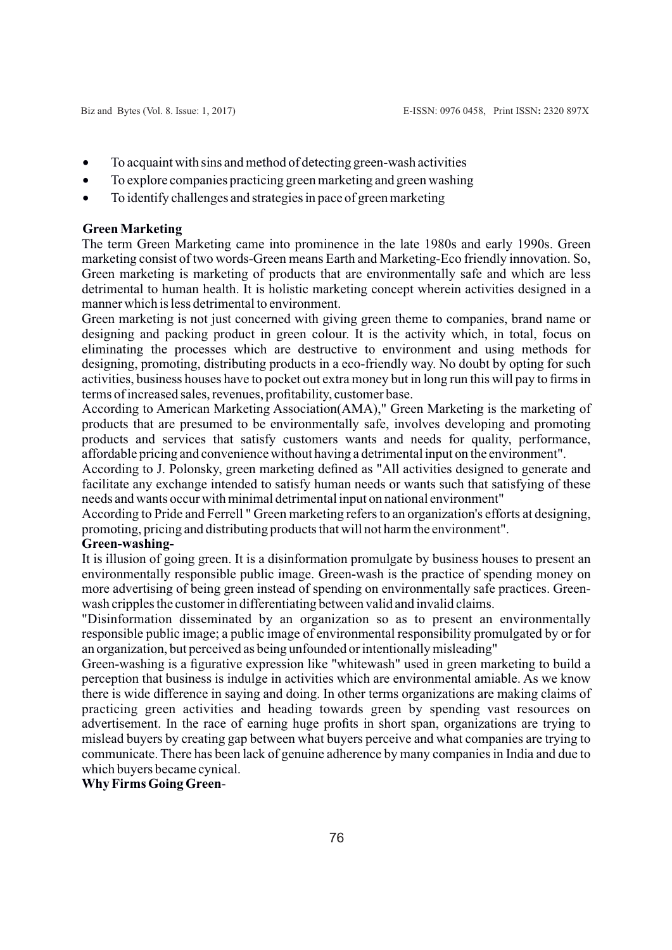- · To acquaint with sins and method of detecting green-wash activities
- · To explore companies practicing green marketing and green washing
- · To identify challenges and strategies in pace of green marketing

# **Green Marketing**

The term Green Marketing came into prominence in the late 1980s and early 1990s. Green marketing consist of two words-Green means Earth and Marketing-Eco friendly innovation. So, Green marketing is marketing of products that are environmentally safe and which are less detrimental to human health. It is holistic marketing concept wherein activities designed in a manner which is less detrimental to environment.

Green marketing is not just concerned with giving green theme to companies, brand name or designing and packing product in green colour. It is the activity which, in total, focus on eliminating the processes which are destructive to environment and using methods for designing, promoting, distributing products in a eco-friendly way. No doubt by opting for such activities, business houses have to pocket out extra money but in long run this will pay to firms in terms of increased sales, revenues, profitability, customer base.

According to American Marketing Association(AMA)," Green Marketing is the marketing of products that are presumed to be environmentally safe, involves developing and promoting products and services that satisfy customers wants and needs for quality, performance, affordable pricing and convenience without having a detrimental input on the environment".

According to J. Polonsky, green marketing defined as "All activities designed to generate and facilitate any exchange intended to satisfy human needs or wants such that satisfying of these needs and wants occur with minimal detrimental input on national environment"

According to Pride and Ferrell " Green marketing refers to an organization's efforts at designing, promoting, pricing and distributing products that will not harm the environment".

# **Green-washing-**

It is illusion of going green. It is a disinformation promulgate by business houses to present an environmentally responsible public image. Green-wash is the practice of spending money on more advertising of being green instead of spending on environmentally safe practices. Greenwash cripples the customer in differentiating between valid and invalid claims.

"Disinformation disseminated by an organization so as to present an environmentally responsible public image; a public image of environmental responsibility promulgated by or for an organization, but perceived as being unfounded or intentionally misleading"

Green-washing is a figurative expression like "whitewash" used in green marketing to build a perception that business is indulge in activities which are environmental amiable. As we know there is wide difference in saying and doing. In other terms organizations are making claims of practicing green activities and heading towards green by spending vast resources on advertisement. In the race of earning huge profits in short span, organizations are trying to mislead buyers by creating gap between what buyers perceive and what companies are trying to communicate. There has been lack of genuine adherence by many companies in India and due to which buyers became cynical.

# **Why Firms Going Green**-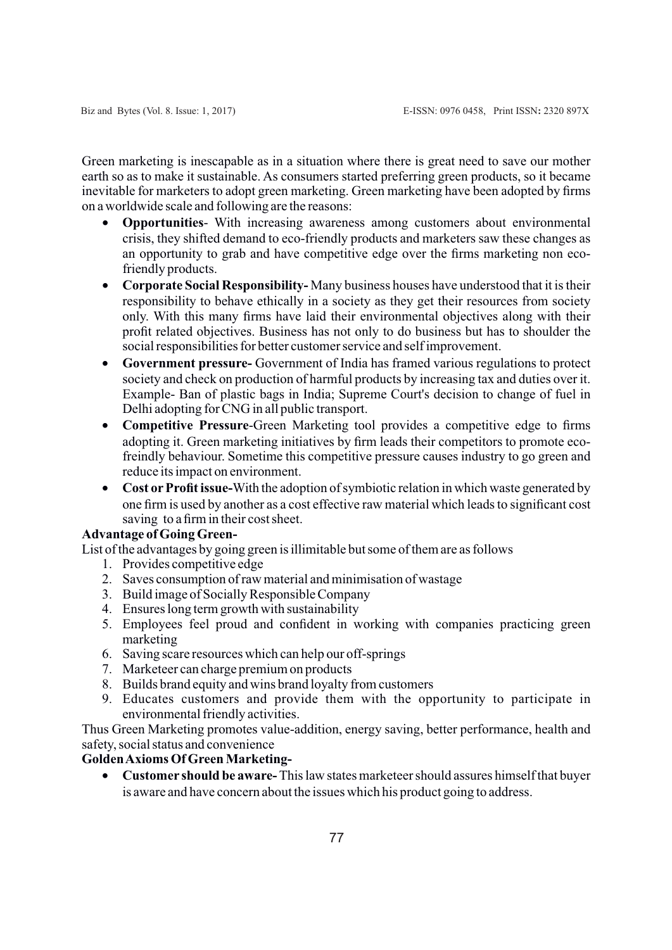Green marketing is inescapable as in a situation where there is great need to save our mother earth so as to make it sustainable. As consumers started preferring green products, so it became inevitable for marketers to adopt green marketing. Green marketing have been adopted by firms on a worldwide scale and following are the reasons:

- · **Opportunities** With increasing awareness among customers about environmental crisis, they shifted demand to eco-friendly products and marketers saw these changes as an opportunity to grab and have competitive edge over the firms marketing non ecofriendly products.
- · **Corporate Social Responsibility-** Many business houses have understood that it is their responsibility to behave ethically in a society as they get their resources from society only. With this many firms have laid their environmental objectives along with their profit related objectives. Business has not only to do business but has to shoulder the social responsibilities for better customer service and self improvement.
- · **Government pressure-** Government of India has framed various regulations to protect society and check on production of harmful products by increasing tax and duties over it. Example- Ban of plastic bags in India; Supreme Court's decision to change of fuel in Delhi adopting for CNG in all public transport.
- · **Competitive Pressure**-Green Marketing tool provides a competitive edge to firms adopting it. Green marketing initiatives by firm leads their competitors to promote ecofreindly behaviour. Sometime this competitive pressure causes industry to go green and reduce its impact on environment.
- · **Cost orProfit issue-**With the adoption of symbiotic relation in which waste generated by one firm is used by another as a cost effective raw material which leads to significant cost saving to a firm in their cost sheet.

# **Advantage of Going Green-**

List of the advantages by going green is illimitable but some of them are as follows

- 1. Provides competitive edge
- 2. Saves consumption of raw material and minimisation of wastage
- 3. Build image of Socially Responsible Company
- 4. Ensures long term growth with sustainability
- 5. Employees feel proud and confident in working with companies practicing green marketing
- 6. Saving scare resources which can help our off-springs
- 7. Marketeer can charge premium on products
- 8. Builds brand equity and wins brand loyalty from customers
- 9. Educates customers and provide them with the opportunity to participate in environmental friendly activities.

Thus Green Marketing promotes value-addition, energy saving, better performance, health and safety, social status and convenience

# **Golden Axioms Of Green Marketing-**

· **Customer should be aware-** This law states marketeer should assures himself that buyer is aware and have concern about the issues which his product going to address.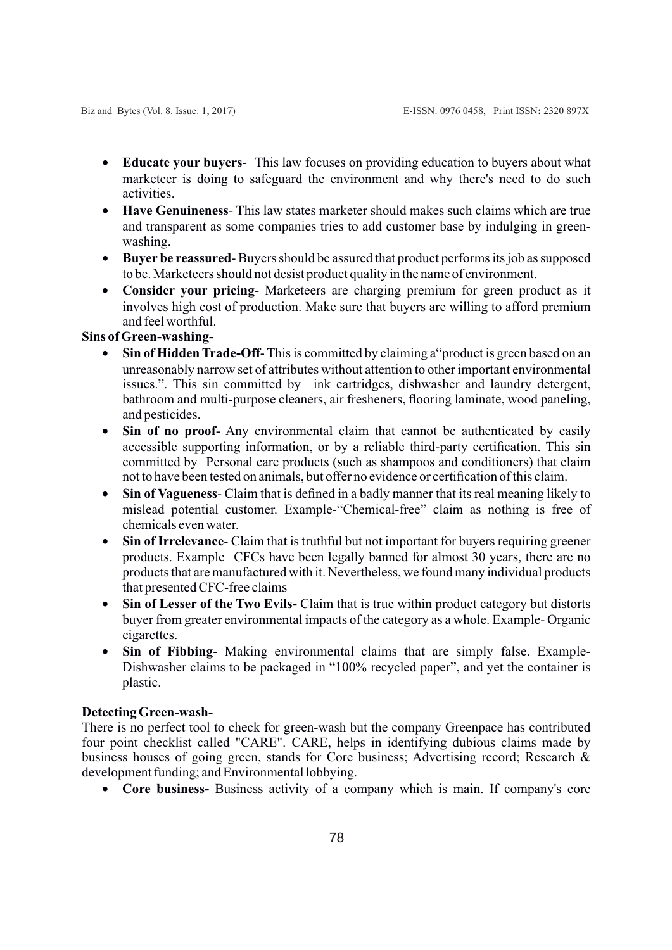- · **Educate your buyers** This law focuses on providing education to buyers about what marketeer is doing to safeguard the environment and why there's need to do such activities.
- · **Have Genuineness** This law states marketer should makes such claims which are true and transparent as some companies tries to add customer base by indulging in greenwashing.
- · **Buyer be reassured** Buyers should be assured that product performs its job as supposed to be. Marketeers should not desist product quality in the name of environment.
- · **Consider your pricing** Marketeers are charging premium for green product as it involves high cost of production. Make sure that buyers are willing to afford premium and feel worthful.

# **Sins of Green-washing-**

- **Sin of Hidden Trade-Off-** This is committed by claiming a "product is green based on an unreasonably narrow set of attributes without attention to other important environmental issues.". This sin committed by ink cartridges, dishwasher and laundry detergent, bathroom and multi-purpose cleaners, air fresheners, flooring laminate, wood paneling, and pesticides.
- · **Sin of no proof** Any environmental claim that cannot be authenticated by easily accessible supporting information, or by a reliable third-party certification. This sin committed by Personal care products (such as shampoos and conditioners) that claim not to have been tested on animals, but offer no evidence or certification of this claim.
- · **Sin of Vagueness** Claim that is defined in a badly manner that its real meaning likely to mislead potential customer. Example-"Chemical-free" claim as nothing is free of chemicals even water.
- · **Sin of Irrelevance** Claim that is truthful but not important for buyers requiring greener products. Example CFCs have been legally banned for almost 30 years, there are no products that are manufactured with it. Nevertheless, we found many individual products that presented CFC-free claims
- · **Sin of Lesser of the Two Evils-** Claim that is true within product category but distorts buyer from greater environmental impacts of the category as a whole. Example- Organic cigarettes.
- · **Sin of Fibbing** Making environmental claims that are simply false. Example-Dishwasher claims to be packaged in "100% recycled paper", and yet the container is plastic.

### **Detecting Green-wash-**

There is no perfect tool to check for green-wash but the company Greenpace has contributed four point checklist called "CARE". CARE, helps in identifying dubious claims made by business houses of going green, stands for Core business; Advertising record; Research & development funding; and Environmental lobbying.

· **Core business-** Business activity of a company which is main. If company's core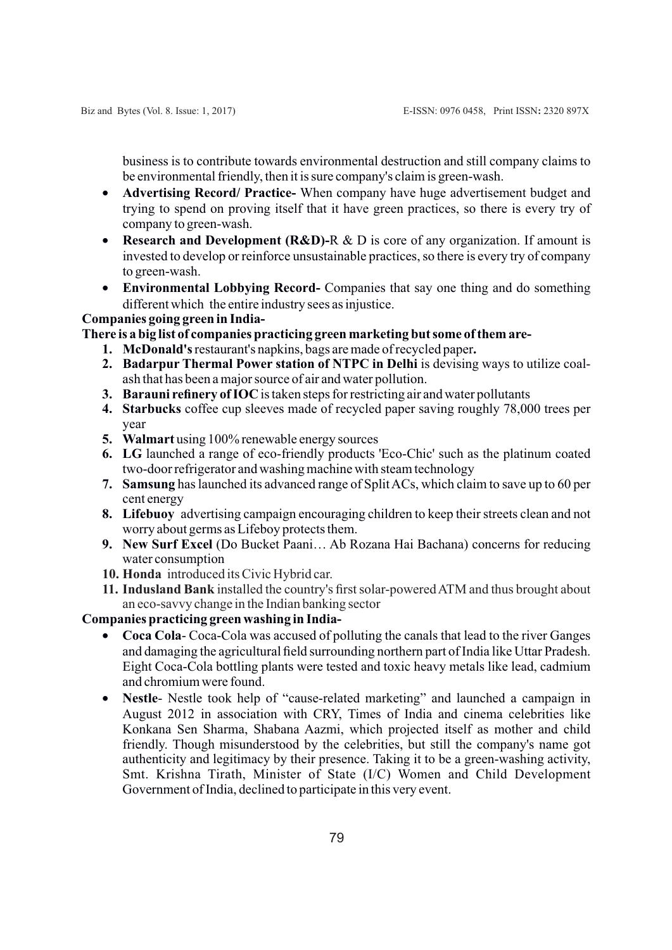business is to contribute towards environmental destruction and still company claims to be environmental friendly, then it is sure company's claim is green-wash.

- · **Advertising Record/ Practice-** When company have huge advertisement budget and trying to spend on proving itself that it have green practices, so there is every try of company to green-wash.
- · **Research and Development (R&D)-**R & D is core of any organization. If amount is invested to develop or reinforce unsustainable practices, so there is every try of company to green-wash.
- · **Environmental Lobbying Record-** Companies that say one thing and do something different which the entire industry sees as injustice.

## **Companies going green in India-**

**There is a big list of companies practicing green marketing but some of them are-**

- **1. McDonald's** restaurant's napkins, bags are made of recycled paper**.**
- **2. Badarpur Thermal Power station of NTPC in Delhi** is devising ways to utilize coalash that has been a major source of air and water pollution.
- **3. Barauni refinery of IOC** is taken steps for restricting air and water pollutants
- **4. Starbucks** coffee cup sleeves made of recycled paper saving roughly 78,000 trees per year
- **5. Walmart** using 100% renewable energy sources
- **6. LG** launched a range of eco-friendly products 'Eco-Chic' such as the platinum coated two-door refrigerator and washing machine with steam technology
- **7. Samsung** has launched its advanced range of Split ACs, which claim to save up to 60 per cent energy
- **8. Lifebuoy** advertising campaign encouraging children to keep their streets clean and not worry about germs as Lifeboy protects them.
- **9. New Surf Excel** (Do Bucket Paani… Ab Rozana Hai Bachana) concerns for reducing water consumption
- **10. Honda** introduced its Civic Hybrid car.
- **11. Indusland Bank** installed the country's first solar-powered ATM and thus brought about an eco-savvy change in the Indian banking sector

# **Companies practicing green washing in India-**

- · **Coca Cola** Coca-Cola was accused of polluting the canals that lead to the river Ganges and damaging the agricultural field surrounding northern part of India like Uttar Pradesh. Eight Coca-Cola bottling plants were tested and toxic heavy metals like lead, cadmium and chromium were found.
- · **Nestle** Nestle took help of "cause-related marketing" and launched a campaign in August 2012 in association with CRY, Times of India and cinema celebrities like Konkana Sen Sharma, Shabana Aazmi, which projected itself as mother and child friendly. Though misunderstood by the celebrities, but still the company's name got authenticity and legitimacy by their presence. Taking it to be a green-washing activity, Smt. Krishna Tirath, Minister of State (I/C) Women and Child Development Government of India, declined to participate in this very event.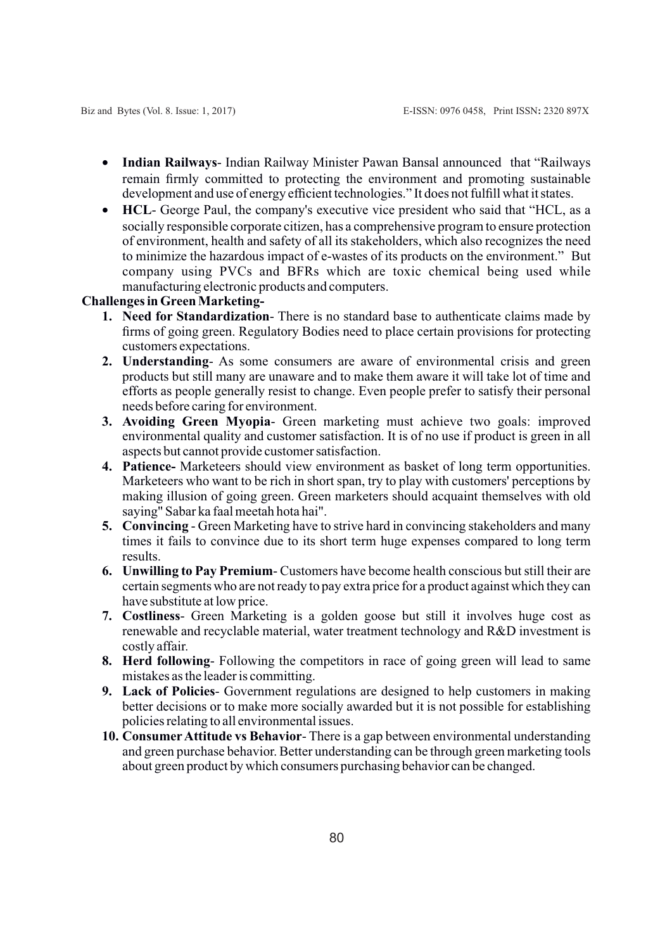- · **Indian Railways** Indian Railway Minister Pawan Bansal announced that "Railways remain firmly committed to protecting the environment and promoting sustainable development and use of energy efficient technologies." It does not fulfill what it states.
- · **HCL** George Paul, the company's executive vice president who said that "HCL, as a socially responsible corporate citizen, has a comprehensive program to ensure protection of environment, health and safety of all its stakeholders, which also recognizes the need to minimize the hazardous impact of e-wastes of its products on the environment." But company using PVCs and BFRs which are toxic chemical being used while manufacturing electronic products and computers.

#### **Challenges in Green Marketing-**

- **1. Need for Standardization** There is no standard base to authenticate claims made by firms of going green. Regulatory Bodies need to place certain provisions for protecting customers expectations.
- **2. Understanding** As some consumers are aware of environmental crisis and green products but still many are unaware and to make them aware it will take lot of time and efforts as people generally resist to change. Even people prefer to satisfy their personal needs before caring for environment.
- **3. Avoiding Green Myopia** Green marketing must achieve two goals: improved environmental quality and customer satisfaction. It is of no use if product is green in all aspects but cannot provide customer satisfaction.
- **4. Patience-** Marketeers should view environment as basket of long term opportunities. Marketeers who want to be rich in short span, try to play with customers' perceptions by making illusion of going green. Green marketers should acquaint themselves with old saying" Sabar ka faal meetah hota hai".
- **5. Convincing**  Green Marketing have to strive hard in convincing stakeholders and many times it fails to convince due to its short term huge expenses compared to long term results.
- **6. Unwilling to Pay Premium** Customers have become health conscious but still their are certain segments who are not ready to pay extra price for a product against which they can have substitute at low price.
- **7. Costliness** Green Marketing is a golden goose but still it involves huge cost as renewable and recyclable material, water treatment technology and R&D investment is costly affair.
- **8. Herd following** Following the competitors in race of going green will lead to same mistakes as the leader is committing.
- **9. Lack of Policies** Government regulations are designed to help customers in making better decisions or to make more socially awarded but it is not possible for establishing policies relating to all environmental issues.
- **10. ConsumerAttitude vs Behavior** There is a gap between environmental understanding and green purchase behavior. Better understanding can be through green marketing tools about green product by which consumers purchasing behavior can be changed.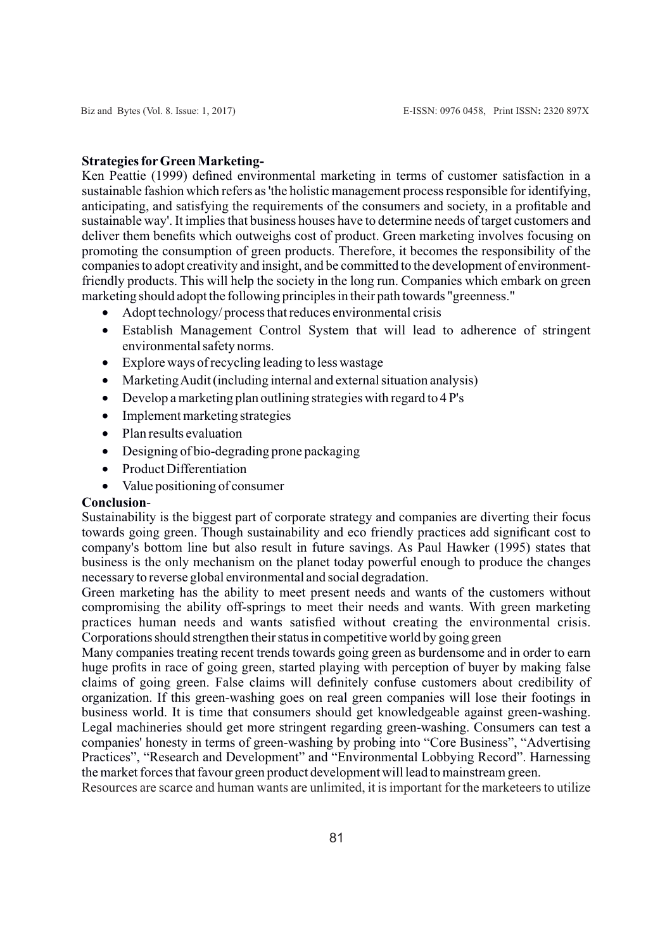## **Strategies forGreen Marketing-**

Ken Peattie (1999) defined environmental marketing in terms of customer satisfaction in a sustainable fashion which refers as 'the holistic management process responsible for identifying, anticipating, and satisfying the requirements of the consumers and society, in a profitable and sustainable way'. It implies that business houses have to determine needs of target customers and deliver them benefits which outweighs cost of product. Green marketing involves focusing on promoting the consumption of green products. Therefore, it becomes the responsibility of the companies to adopt creativity and insight, and be committed to the development of environmentfriendly products. This will help the society in the long run. Companies which embark on green marketing should adopt the following principles in their path towards "greenness."

- Adopt technology/process that reduces environmental crisis
- · Establish Management Control System that will lead to adherence of stringent environmental safety norms.
- · Explore ways of recycling leading to less wastage
- · Marketing Audit (including internal and external situation analysis)
- Develop a marketing plan outlining strategies with regard to 4 P's
- Implement marketing strategies
- Plan results evaluation
- Designing of bio-degrading prone packaging
- Product Differentiation
- Value positioning of consumer

## **Conclusion**-

Sustainability is the biggest part of corporate strategy and companies are diverting their focus towards going green. Though sustainability and eco friendly practices add significant cost to company's bottom line but also result in future savings. As Paul Hawker (1995) states that business is the only mechanism on the planet today powerful enough to produce the changes necessary to reverse global environmental and social degradation.

Green marketing has the ability to meet present needs and wants of the customers without compromising the ability off-springs to meet their needs and wants. With green marketing practices human needs and wants satisfied without creating the environmental crisis. Corporations should strengthen their status in competitive world by going green

Many companies treating recent trends towards going green as burdensome and in order to earn huge profits in race of going green, started playing with perception of buyer by making false claims of going green. False claims will definitely confuse customers about credibility of organization. If this green-washing goes on real green companies will lose their footings in business world. It is time that consumers should get knowledgeable against green-washing. Legal machineries should get more stringent regarding green-washing. Consumers can test a companies' honesty in terms of green-washing by probing into "Core Business", "Advertising Practices", "Research and Development" and "Environmental Lobbying Record". Harnessing the market forces that favour green product development will lead to mainstream green.

Resources are scarce and human wants are unlimited, it is important for the marketeers to utilize